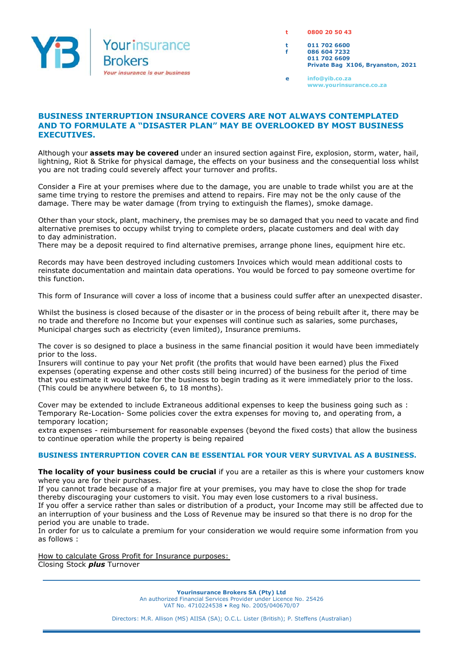

**t 0800 20 50 43**

**t 011 702 6600 f 086 604 7232 011 702 6609 Private Bag X106, Bryanston, 2021**

**e info@yib.co.za www.yourinsurance.co.za**

## **BUSINESS INTERRUPTION INSURANCE COVERS ARE NOT ALWAYS CONTEMPLATED AND TO FORMULATE A "DISASTER PLAN" MAY BE OVERLOOKED BY MOST BUSINESS EXECUTIVES.**

Although your **assets may be covered** under an insured section against Fire, explosion, storm, water, hail, lightning, Riot & Strike for physical damage, the effects on your business and the consequential loss whilst you are not trading could severely affect your turnover and profits.

Consider a Fire at your premises where due to the damage, you are unable to trade whilst you are at the same time trying to restore the premises and attend to repairs. Fire may not be the only cause of the damage. There may be water damage (from trying to extinguish the flames), smoke damage.

Other than your stock, plant, machinery, the premises may be so damaged that you need to vacate and find alternative premises to occupy whilst trying to complete orders, placate customers and deal with day to day administration.

There may be a deposit required to find alternative premises, arrange phone lines, equipment hire etc.

Records may have been destroyed including customers Invoices which would mean additional costs to reinstate documentation and maintain data operations. You would be forced to pay someone overtime for this function.

This form of Insurance will cover a loss of income that a business could suffer after an unexpected disaster.

Whilst the business is closed because of the disaster or in the process of being rebuilt after it, there may be no trade and therefore no Income but your expenses will continue such as salaries, some purchases, Municipal charges such as electricity (even limited), Insurance premiums.

The cover is so designed to place a business in the same financial position it would have been immediately prior to the loss.

Insurers will continue to pay your Net profit (the profits that would have been earned) plus the Fixed expenses (operating expense and other costs still being incurred) of the business for the period of time that you estimate it would take for the business to begin trading as it were immediately prior to the loss. (This could be anywhere between 6, to 18 months).

Cover may be extended to include Extraneous additional expenses to keep the business going such as : Temporary Re-Location- Some policies cover the extra expenses for moving to, and operating from, a temporary location;

extra expenses - reimbursement for reasonable expenses (beyond the fixed costs) that allow the business to continue operation while the property is being repaired

## **BUSINESS INTERRUPTION COVER CAN BE ESSENTIAL FOR YOUR VERY SURVIVAL AS A BUSINESS.**

**The locality of your business could be crucial** if you are a retailer as this is where your customers know where you are for their purchases.

If you cannot trade because of a major fire at your premises, you may have to close the shop for trade thereby discouraging your customers to visit. You may even lose customers to a rival business. If you offer a service rather than sales or distribution of a product, your Income may still be affected due to an interruption of your business and the Loss of Revenue may be insured so that there is no drop for the period you are unable to trade.

In order for us to calculate a premium for your consideration we would require some information from you as follows :

How to calculate Gross Profit for Insurance purposes: Closing Stock *plus* Turnover

> **Yourinsurance Brokers SA (Pty) Ltd** An authorized Financial Services Provider under Licence No. 25426 VAT No. 4710224538 • Reg No. 2005/040670/07